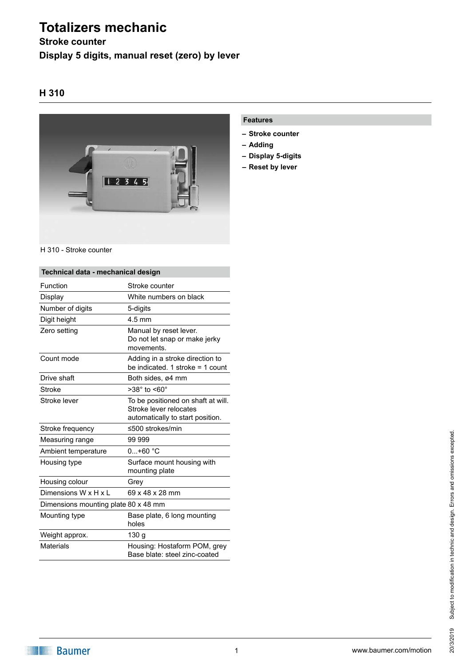# **Totalizers mechanic**

# **Stroke counter Display 5 digits, manual reset (zero) by lever**

## **H 310**



#### H 310 - Stroke counter

| Technical data - mechanical design   |                                                                                                  |
|--------------------------------------|--------------------------------------------------------------------------------------------------|
| Function                             | Stroke counter                                                                                   |
| Display                              | White numbers on black                                                                           |
| Number of digits                     | 5-digits                                                                                         |
| Digit height                         | $4.5$ mm                                                                                         |
| Zero setting                         | Manual by reset lever.<br>Do not let snap or make jerky<br>movements.                            |
| Count mode                           | Adding in a stroke direction to<br>be indicated. 1 stroke $=$ 1 count                            |
| Drive shaft                          | Both sides, ø4 mm                                                                                |
| Stroke                               | $>38^\circ$ to $< 60^\circ$                                                                      |
| Stroke lever                         | To be positioned on shaft at will.<br>Stroke lever relocates<br>automatically to start position. |
| Stroke frequency                     | ≤500 strokes/min                                                                                 |
| Measuring range                      | 99 999                                                                                           |
| Ambient temperature                  | $0+60 °C$                                                                                        |
| Housing type                         | Surface mount housing with<br>mounting plate                                                     |
| Housing colour                       | Grey                                                                                             |
| Dimensions W x H x L                 | 69 x 48 x 28 mm                                                                                  |
| Dimensions mounting plate 80 x 48 mm |                                                                                                  |
| Mounting type                        | Base plate, 6 long mounting<br>holes                                                             |
| Weight approx.                       | 130 g                                                                                            |
| <b>Materials</b>                     | Housing: Hostaform POM, grey<br>Base blate: steel zinc-coated                                    |

### **Features**

- **– Stroke counter**
- **– Adding**
- **– Display 5-digits**
- **– Reset by lever**